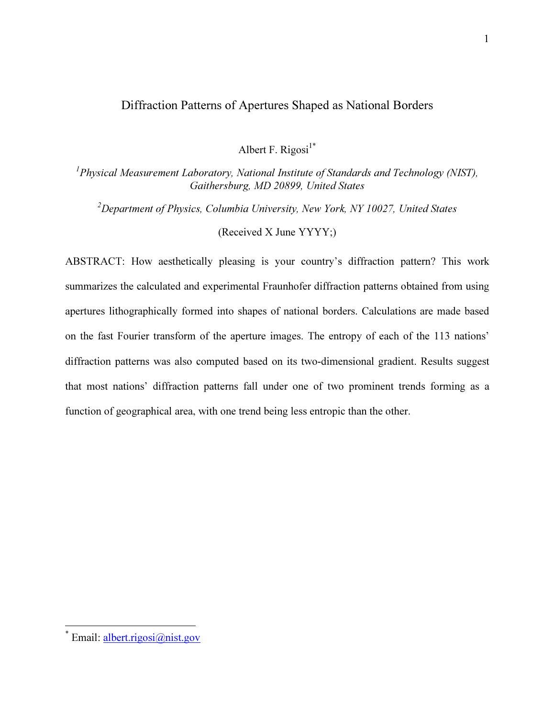## Diffraction Patterns of Apertures Shaped as National Borders

Albert F. Rigosi $1^*$ 

 ${}^{1}$ Physical Measurement Laboratory, National Institute of Standards and Technology (NIST), Gaithersburg, MD 20899, United States

<sup>2</sup>Department of Physics, Columbia University, New York, NY 10027, United States (Received X June YYYY;)

ABSTRACT: How aesthetically pleasing is your country's diffraction pattern? This work summarizes the calculated and experimental Fraunhofer diffraction patterns obtained from using apertures lithographically formed into shapes of national borders. Calculations are made based on the fast Fourier transform of the aperture images. The entropy of each of the 113 nations' diffraction patterns was also computed based on its two-dimensional gradient. Results suggest that most nations' diffraction patterns fall under one of two prominent trends forming as a function of geographical area, with one trend being less entropic than the other.

<sup>\*&</sup>lt;br><sup>\*</sup> Email: <u>albert.rigosi@nist.gov</u>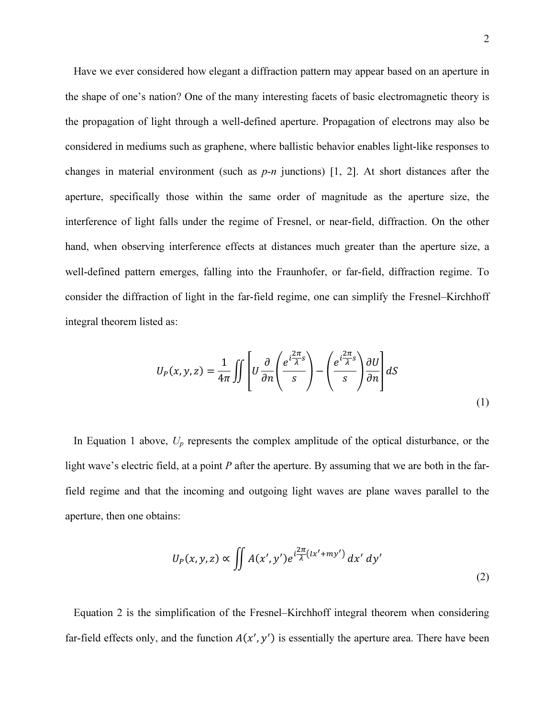Have we ever considered how elegant a diffraction pattern may appear based on an aperture in the shape of one's nation? One of the many interesting facets of basic electromagnetic theory is the propagation of light through a well-defined aperture. Propagation of electrons may also be considered in mediums such as graphene, where ballistic behavior enables light-like responses to changes in material environment (such as  $p-n$  junctions) [1, 2]. At short distances after the aperture, specifically those within the same order of magnitude as the aperture size, the interference of light falls under the regime of Fresnel, or near-field, diffraction. On the other hand, when observing interference effects at distances much greater than the aperture size, a well-defined pattern emerges, falling into the Fraunhofer, or far-field, diffraction regime. To consider the diffraction of light in the far-field regime, one can simplify the Fresnel–Kirchhoff integral theorem listed as:

$$
U_P(x, y, z) = \frac{1}{4\pi} \iint \left[ U \frac{\partial}{\partial n} \left( \frac{e^{i\frac{2\pi}{\lambda}s}}{s} \right) - \left( \frac{e^{i\frac{2\pi}{\lambda}s}}{s} \right) \frac{\partial U}{\partial n} \right] dS \tag{1}
$$

In Equation 1 above,  $U_p$  represents the complex amplitude of the optical disturbance, or the light wave's electric field, at a point  $P$  after the aperture. By assuming that we are both in the farfield regime and that the incoming and outgoing light waves are plane waves parallel to the aperture, then one obtains:

$$
U_P(x, y, z) \propto \iint A(x', y') e^{i\frac{2\pi}{\lambda}(lx' + my')} dx' dy'
$$
 (2)

Equation 2 is the simplification of the Fresnel–Kirchhoff integral theorem when considering far-field effects only, and the function  $A(x', y')$  is essentially the aperture area. There have been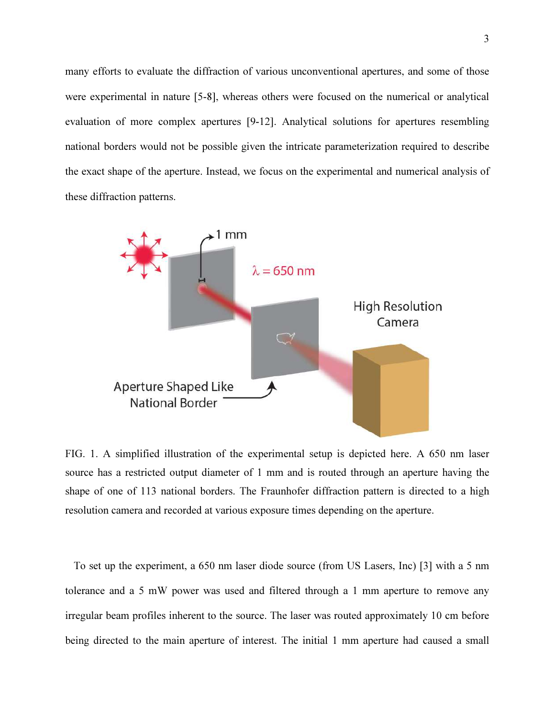many efforts to evaluate the diffraction of various unconventional apertures, and some of those were experimental in nature [5-8], whereas others were focused on the numerical or analytical evaluation of more complex apertures [9-12]. Analytical solutions for apertures resembling national borders would not be possible given the intricate parameterization required to describe the exact shape of the aperture. Instead, we focus on the experimental and numerical analysis of these diffraction patterns.



FIG. 1. A simplified illustration of the experimental setup is depicted here. A 650 nm laser source has a restricted output diameter of 1 mm and is routed through an aperture having the shape of one of 113 national borders. The Fraunhofer diffraction pattern is directed to a high resolution camera and recorded at various exposure times depending on the aperture.

To set up the experiment, a 650 nm laser diode source (from US Lasers, Inc) [3] with a 5 nm tolerance and a 5 mW power was used and filtered through a 1 mm aperture to remove any irregular beam profiles inherent to the source. The laser was routed approximately 10 cm before being directed to the main aperture of interest. The initial 1 mm aperture had caused a small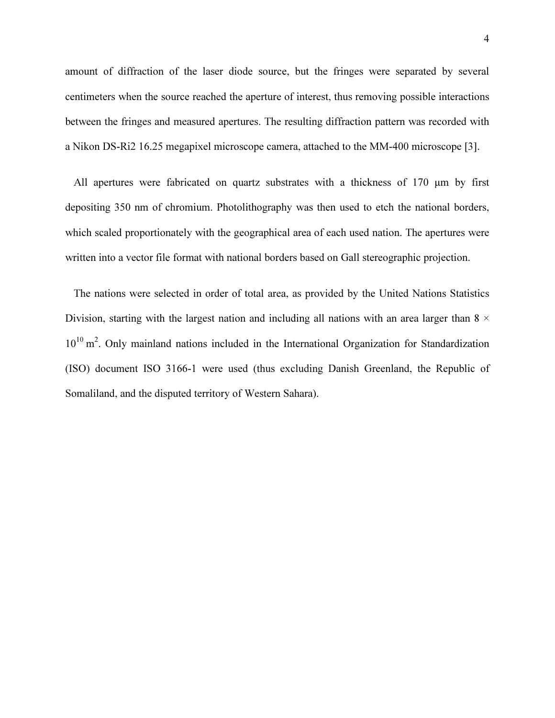amount of diffraction of the laser diode source, but the fringes were separated by several centimeters when the source reached the aperture of interest, thus removing possible interactions between the fringes and measured apertures. The resulting diffraction pattern was recorded with a Nikon DS-Ri2 16.25 megapixel microscope camera, attached to the MM-400 microscope [3].

All apertures were fabricated on quartz substrates with a thickness of 170 μm by first depositing 350 nm of chromium. Photolithography was then used to etch the national borders, which scaled proportionately with the geographical area of each used nation. The apertures were written into a vector file format with national borders based on Gall stereographic projection.

The nations were selected in order of total area, as provided by the United Nations Statistics Division, starting with the largest nation and including all nations with an area larger than  $8 \times$  $10^{10}$  m<sup>2</sup>. Only mainland nations included in the International Organization for Standardization (ISO) document ISO 3166-1 were used (thus excluding Danish Greenland, the Republic of Somaliland, and the disputed territory of Western Sahara).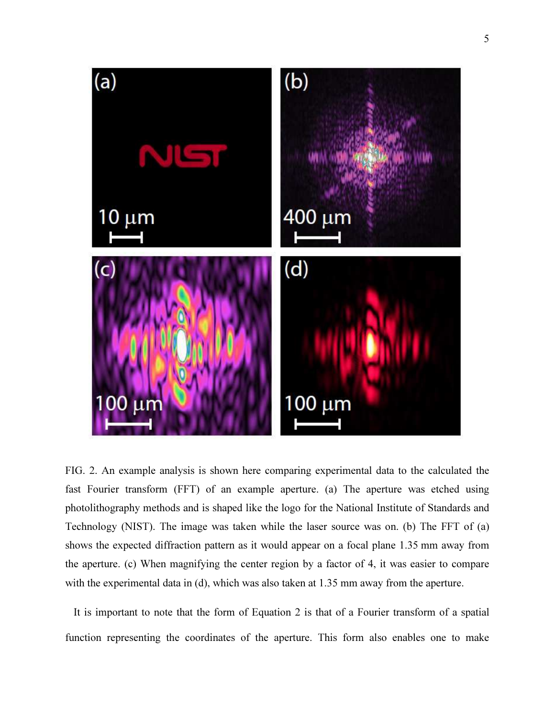

FIG. 2. An example analysis is shown here comparing experimental data to the calculated the fast Fourier transform (FFT) of an example aperture. (a) The aperture was etched using photolithography methods and is shaped like the logo for the National Institute of Standards and Technology (NIST). The image was taken while the laser source was on. (b) The FFT of (a) shows the expected diffraction pattern as it would appear on a focal plane 1.35 mm away from the aperture. (c) When magnifying the center region by a factor of 4, it was easier to compare with the experimental data in (d), which was also taken at 1.35 mm away from the aperture.

It is important to note that the form of Equation 2 is that of a Fourier transform of a spatial function representing the coordinates of the aperture. This form also enables one to make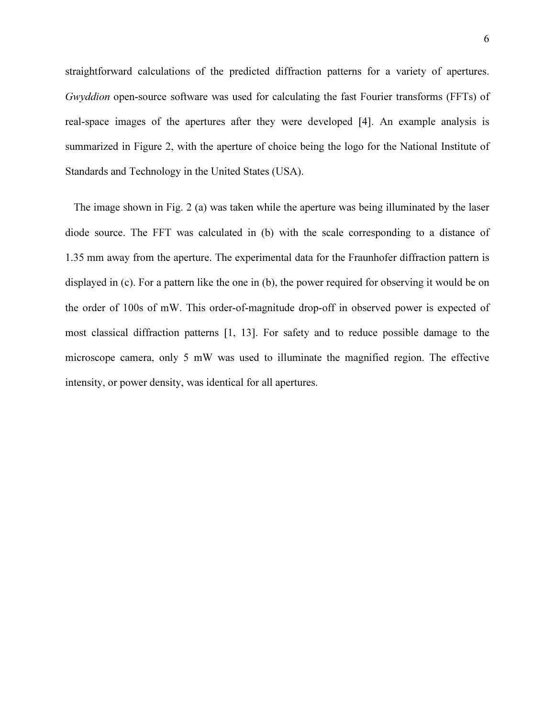straightforward calculations of the predicted diffraction patterns for a variety of apertures. Gwyddion open-source software was used for calculating the fast Fourier transforms (FFTs) of real-space images of the apertures after they were developed [4]. An example analysis is summarized in Figure 2, with the aperture of choice being the logo for the National Institute of Standards and Technology in the United States (USA).

The image shown in Fig. 2 (a) was taken while the aperture was being illuminated by the laser diode source. The FFT was calculated in (b) with the scale corresponding to a distance of 1.35 mm away from the aperture. The experimental data for the Fraunhofer diffraction pattern is displayed in (c). For a pattern like the one in (b), the power required for observing it would be on the order of 100s of mW. This order-of-magnitude drop-off in observed power is expected of most classical diffraction patterns [1, 13]. For safety and to reduce possible damage to the microscope camera, only 5 mW was used to illuminate the magnified region. The effective intensity, or power density, was identical for all apertures.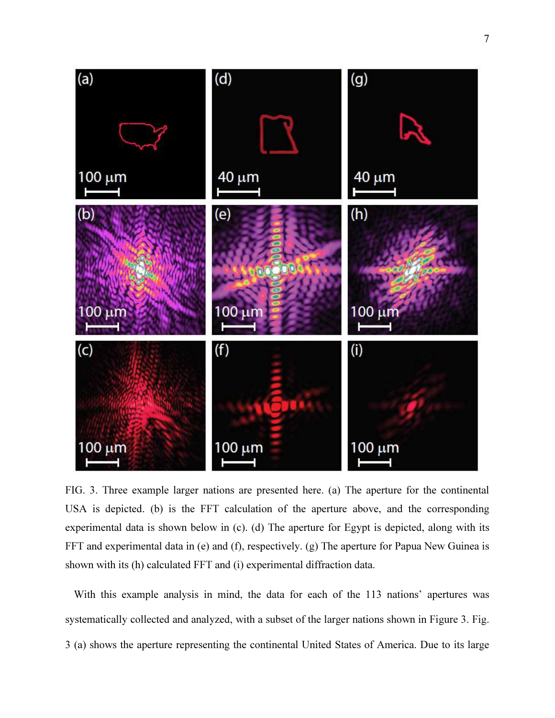

FIG. 3. Three example larger nations are presented here. (a) The aperture for the continental USA is depicted. (b) is the FFT calculation of the aperture above, and the corresponding experimental data is shown below in (c). (d) The aperture for Egypt is depicted, along with its FFT and experimental data in (e) and (f), respectively. (g) The aperture for Papua New Guinea is shown with its (h) calculated FFT and (i) experimental diffraction data.

With this example analysis in mind, the data for each of the 113 nations' apertures was systematically collected and analyzed, with a subset of the larger nations shown in Figure 3. Fig. 3 (a) shows the aperture representing the continental United States of America. Due to its large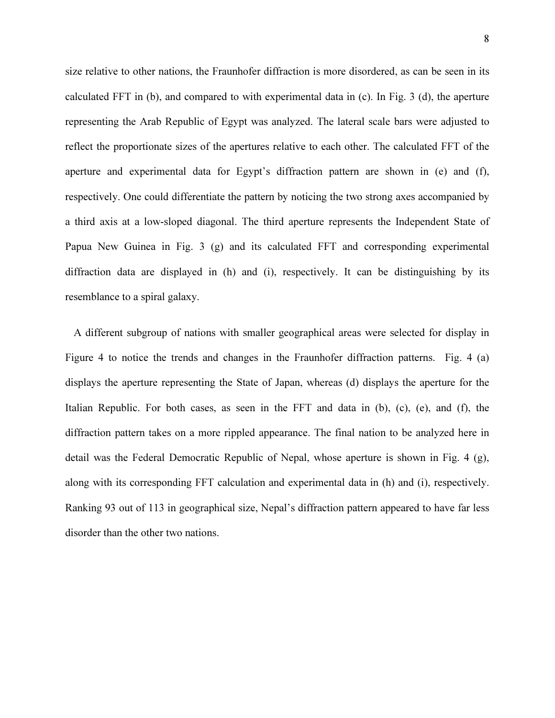size relative to other nations, the Fraunhofer diffraction is more disordered, as can be seen in its calculated FFT in (b), and compared to with experimental data in (c). In Fig. 3 (d), the aperture representing the Arab Republic of Egypt was analyzed. The lateral scale bars were adjusted to reflect the proportionate sizes of the apertures relative to each other. The calculated FFT of the aperture and experimental data for Egypt's diffraction pattern are shown in (e) and (f), respectively. One could differentiate the pattern by noticing the two strong axes accompanied by a third axis at a low-sloped diagonal. The third aperture represents the Independent State of Papua New Guinea in Fig. 3 (g) and its calculated FFT and corresponding experimental diffraction data are displayed in (h) and (i), respectively. It can be distinguishing by its resemblance to a spiral galaxy.

A different subgroup of nations with smaller geographical areas were selected for display in Figure 4 to notice the trends and changes in the Fraunhofer diffraction patterns. Fig. 4 (a) displays the aperture representing the State of Japan, whereas (d) displays the aperture for the Italian Republic. For both cases, as seen in the FFT and data in (b), (c), (e), and (f), the diffraction pattern takes on a more rippled appearance. The final nation to be analyzed here in detail was the Federal Democratic Republic of Nepal, whose aperture is shown in Fig. 4 (g), along with its corresponding FFT calculation and experimental data in (h) and (i), respectively. Ranking 93 out of 113 in geographical size, Nepal's diffraction pattern appeared to have far less disorder than the other two nations.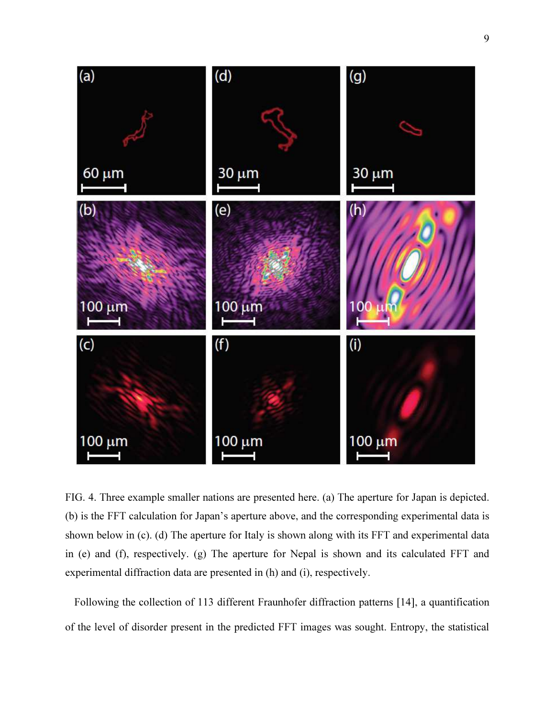

FIG. 4. Three example smaller nations are presented here. (a) The aperture for Japan is depicted. (b) is the FFT calculation for Japan's aperture above, and the corresponding experimental data is shown below in (c). (d) The aperture for Italy is shown along with its FFT and experimental data in (e) and (f), respectively. (g) The aperture for Nepal is shown and its calculated FFT and experimental diffraction data are presented in (h) and (i), respectively.

Following the collection of 113 different Fraunhofer diffraction patterns [14], a quantification of the level of disorder present in the predicted FFT images was sought. Entropy, the statistical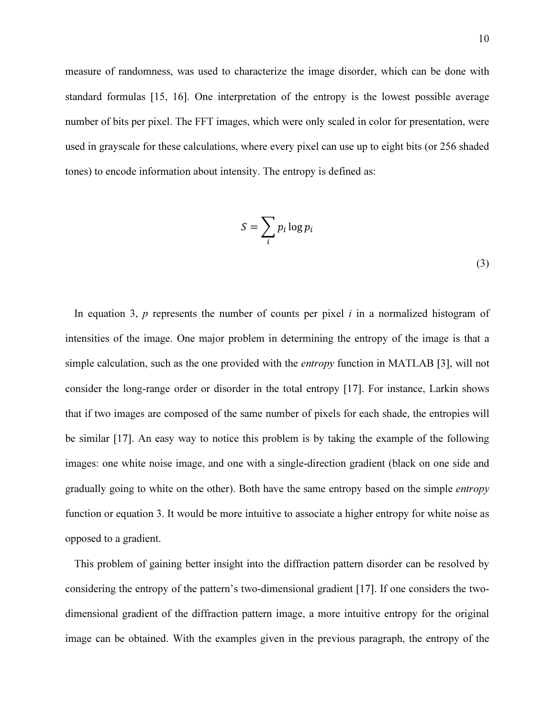measure of randomness, was used to characterize the image disorder, which can be done with standard formulas [15, 16]. One interpretation of the entropy is the lowest possible average number of bits per pixel. The FFT images, which were only scaled in color for presentation, were used in grayscale for these calculations, where every pixel can use up to eight bits (or 256 shaded tones) to encode information about intensity. The entropy is defined as:

$$
S = \sum_{i} p_i \log p_i
$$
\n(3)

In equation 3,  $p$  represents the number of counts per pixel  $i$  in a normalized histogram of intensities of the image. One major problem in determining the entropy of the image is that a simple calculation, such as the one provided with the *entropy* function in MATLAB [3], will not consider the long-range order or disorder in the total entropy [17]. For instance, Larkin shows that if two images are composed of the same number of pixels for each shade, the entropies will be similar [17]. An easy way to notice this problem is by taking the example of the following images: one white noise image, and one with a single-direction gradient (black on one side and gradually going to white on the other). Both have the same entropy based on the simple entropy function or equation 3. It would be more intuitive to associate a higher entropy for white noise as opposed to a gradient.

This problem of gaining better insight into the diffraction pattern disorder can be resolved by considering the entropy of the pattern's two-dimensional gradient [17]. If one considers the twodimensional gradient of the diffraction pattern image, a more intuitive entropy for the original image can be obtained. With the examples given in the previous paragraph, the entropy of the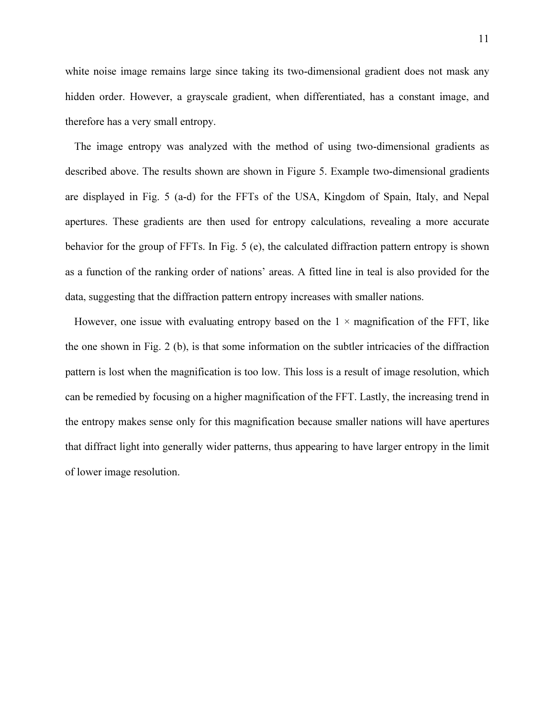white noise image remains large since taking its two-dimensional gradient does not mask any hidden order. However, a grayscale gradient, when differentiated, has a constant image, and therefore has a very small entropy.

The image entropy was analyzed with the method of using two-dimensional gradients as described above. The results shown are shown in Figure 5. Example two-dimensional gradients are displayed in Fig. 5 (a-d) for the FFTs of the USA, Kingdom of Spain, Italy, and Nepal apertures. These gradients are then used for entropy calculations, revealing a more accurate behavior for the group of FFTs. In Fig. 5 (e), the calculated diffraction pattern entropy is shown as a function of the ranking order of nations' areas. A fitted line in teal is also provided for the data, suggesting that the diffraction pattern entropy increases with smaller nations.

However, one issue with evaluating entropy based on the  $1 \times$  magnification of the FFT, like the one shown in Fig. 2 (b), is that some information on the subtler intricacies of the diffraction pattern is lost when the magnification is too low. This loss is a result of image resolution, which can be remedied by focusing on a higher magnification of the FFT. Lastly, the increasing trend in the entropy makes sense only for this magnification because smaller nations will have apertures that diffract light into generally wider patterns, thus appearing to have larger entropy in the limit of lower image resolution.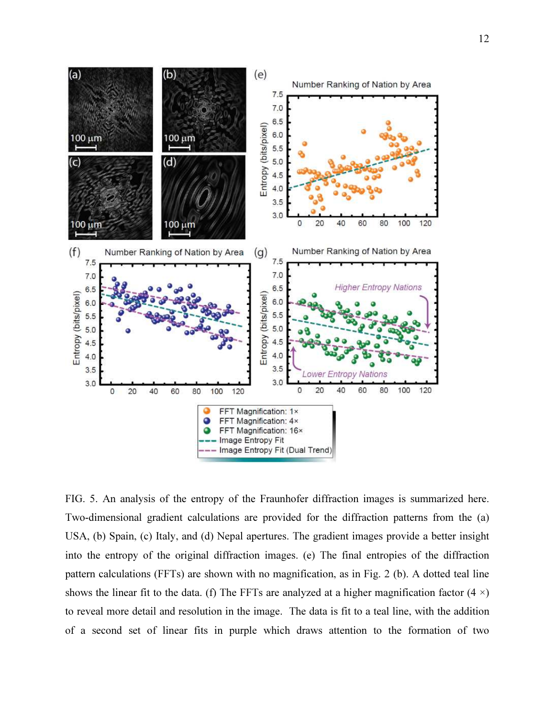

FIG. 5. An analysis of the entropy of the Fraunhofer diffraction images is summarized here. Two-dimensional gradient calculations are provided for the diffraction patterns from the (a) USA, (b) Spain, (c) Italy, and (d) Nepal apertures. The gradient images provide a better insight into the entropy of the original diffraction images. (e) The final entropies of the diffraction pattern calculations (FFTs) are shown with no magnification, as in Fig. 2 (b). A dotted teal line shows the linear fit to the data. (f) The FFTs are analyzed at a higher magnification factor  $(4 \times)$ to reveal more detail and resolution in the image. The data is fit to a teal line, with the addition of a second set of linear fits in purple which draws attention to the formation of two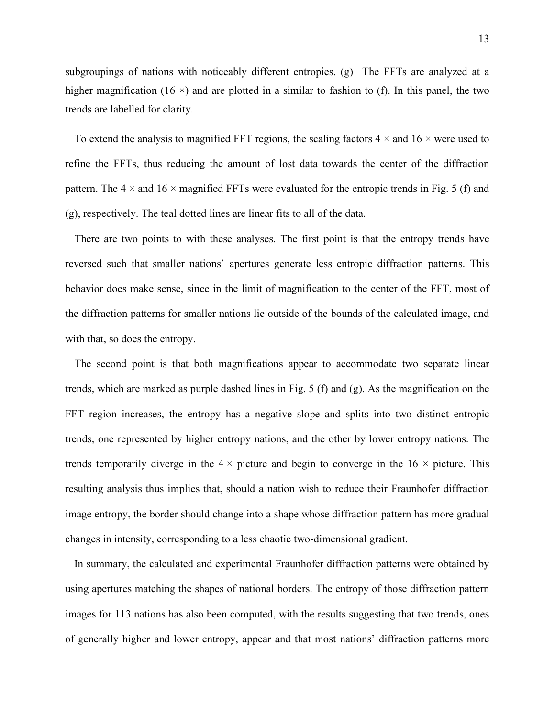subgroupings of nations with noticeably different entropies. (g) The FFTs are analyzed at a higher magnification (16  $\times$ ) and are plotted in a similar to fashion to (f). In this panel, the two trends are labelled for clarity.

To extend the analysis to magnified FFT regions, the scaling factors  $4 \times$  and  $16 \times$  were used to refine the FFTs, thus reducing the amount of lost data towards the center of the diffraction pattern. The  $4 \times$  and  $16 \times$  magnified FFTs were evaluated for the entropic trends in Fig. 5 (f) and (g), respectively. The teal dotted lines are linear fits to all of the data.

There are two points to with these analyses. The first point is that the entropy trends have reversed such that smaller nations' apertures generate less entropic diffraction patterns. This behavior does make sense, since in the limit of magnification to the center of the FFT, most of the diffraction patterns for smaller nations lie outside of the bounds of the calculated image, and with that, so does the entropy.

The second point is that both magnifications appear to accommodate two separate linear trends, which are marked as purple dashed lines in Fig. 5 (f) and (g). As the magnification on the FFT region increases, the entropy has a negative slope and splits into two distinct entropic trends, one represented by higher entropy nations, and the other by lower entropy nations. The trends temporarily diverge in the  $4 \times$  picture and begin to converge in the  $16 \times$  picture. This resulting analysis thus implies that, should a nation wish to reduce their Fraunhofer diffraction image entropy, the border should change into a shape whose diffraction pattern has more gradual changes in intensity, corresponding to a less chaotic two-dimensional gradient.

In summary, the calculated and experimental Fraunhofer diffraction patterns were obtained by using apertures matching the shapes of national borders. The entropy of those diffraction pattern images for 113 nations has also been computed, with the results suggesting that two trends, ones of generally higher and lower entropy, appear and that most nations' diffraction patterns more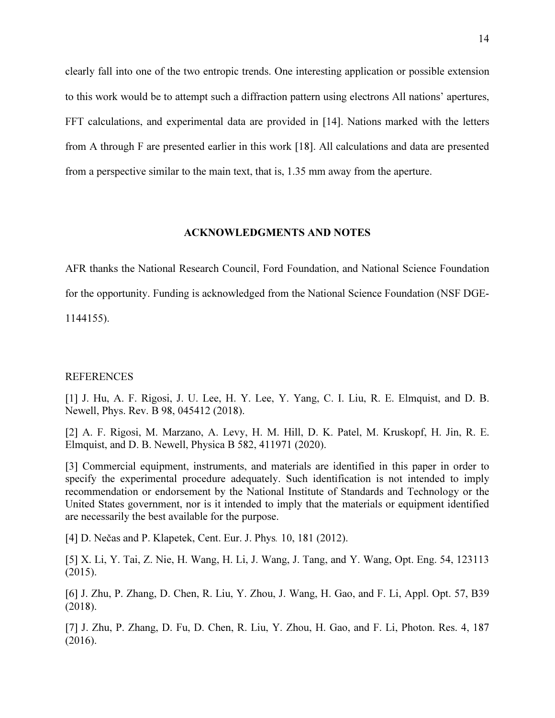clearly fall into one of the two entropic trends. One interesting application or possible extension to this work would be to attempt such a diffraction pattern using electrons All nations' apertures, FFT calculations, and experimental data are provided in [14]. Nations marked with the letters from A through F are presented earlier in this work [18]. All calculations and data are presented from a perspective similar to the main text, that is, 1.35 mm away from the aperture.

## ACKNOWLEDGMENTS AND NOTES

AFR thanks the National Research Council, Ford Foundation, and National Science Foundation for the opportunity. Funding is acknowledged from the National Science Foundation (NSF DGE-1144155).

## REFERENCES

[1] J. Hu, A. F. Rigosi, J. U. Lee, H. Y. Lee, Y. Yang, C. I. Liu, R. E. Elmquist, and D. B. Newell, Phys. Rev. B 98, 045412 (2018).

[2] A. F. Rigosi, M. Marzano, A. Levy, H. M. Hill, D. K. Patel, M. Kruskopf, H. Jin, R. E. Elmquist, and D. B. Newell, Physica B 582, 411971 (2020).

[3] Commercial equipment, instruments, and materials are identified in this paper in order to specify the experimental procedure adequately. Such identification is not intended to imply recommendation or endorsement by the National Institute of Standards and Technology or the United States government, nor is it intended to imply that the materials or equipment identified are necessarily the best available for the purpose.

[4] D. Nečas and P. Klapetek, Cent. Eur. J. Phys. 10, 181 (2012).

[5] X. Li, Y. Tai, Z. Nie, H. Wang, H. Li, J. Wang, J. Tang, and Y. Wang, Opt. Eng. 54, 123113 (2015).

[6] J. Zhu, P. Zhang, D. Chen, R. Liu, Y. Zhou, J. Wang, H. Gao, and F. Li, Appl. Opt. 57, B39 (2018).

[7] J. Zhu, P. Zhang, D. Fu, D. Chen, R. Liu, Y. Zhou, H. Gao, and F. Li, Photon. Res. 4, 187 (2016).